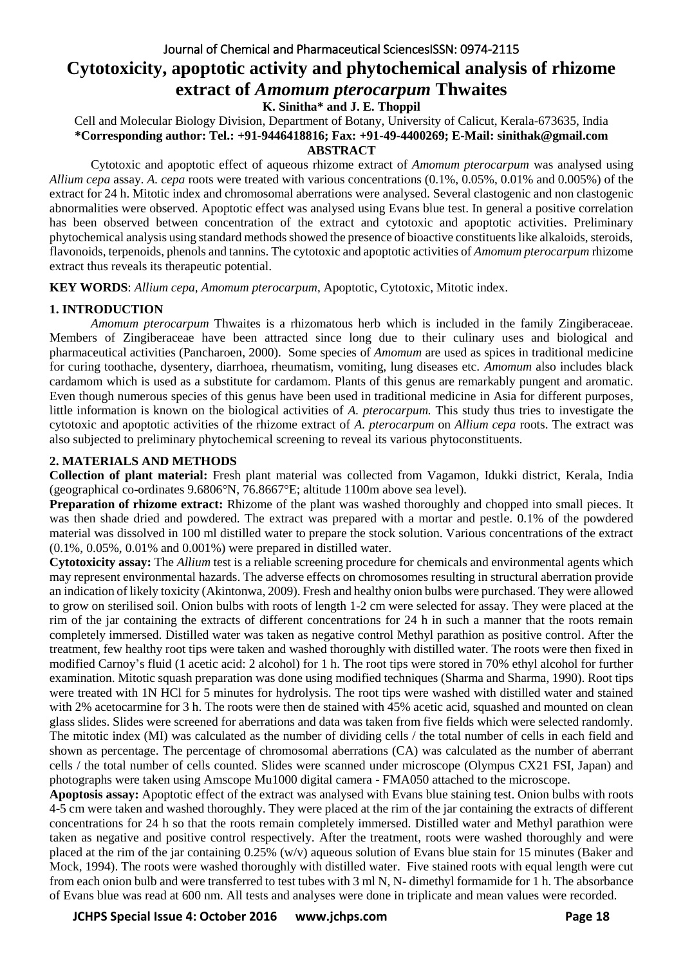# Journal of Chemical and Pharmaceutical SciencesISSN: 0974-2115 **Cytotoxicity, apoptotic activity and phytochemical analysis of rhizome extract of** *Amomum pterocarpum* **Thwaites**

**K. Sinitha\* and J. E. Thoppil**

Cell and Molecular Biology Division, Department of Botany, University of Calicut, Kerala-673635, India **\*Corresponding author: Tel.: +91-9446418816; Fax: +91-49-4400269; E-Mail: sinithak@gmail.com ABSTRACT**

Cytotoxic and apoptotic effect of aqueous rhizome extract of *Amomum pterocarpum* was analysed using *Allium cepa* assay. *A. cepa* roots were treated with various concentrations (0.1%, 0.05%, 0.01% and 0.005%) of the extract for 24 h. Mitotic index and chromosomal aberrations were analysed. Several clastogenic and non clastogenic abnormalities were observed. Apoptotic effect was analysed using Evans blue test. In general a positive correlation has been observed between concentration of the extract and cytotoxic and apoptotic activities. Preliminary phytochemical analysis using standard methods showed the presence of bioactive constituents like alkaloids, steroids, flavonoids, terpenoids, phenols and tannins. The cytotoxic and apoptotic activities of *Amomum pterocarpum* rhizome extract thus reveals its therapeutic potential.

**KEY WORDS**: *Allium cepa, Amomum pterocarpum*, Apoptotic, Cytotoxic, Mitotic index.

# **1. INTRODUCTION**

*Amomum pterocarpum* Thwaites is a rhizomatous herb which is included in the family Zingiberaceae. Members of Zingiberaceae have been attracted since long due to their culinary uses and biological and pharmaceutical activities (Pancharoen, 2000). Some species of *Amomum* are used as spices in traditional medicine for curing toothache, dysentery, diarrhoea, rheumatism, vomiting, lung diseases etc. *Amomum* also includes black cardamom which is used as a substitute for cardamom. Plants of this genus are remarkably pungent and aromatic. Even though numerous species of this genus have been used in traditional medicine in Asia for different purposes, little information is known on the biological activities of *A. pterocarpum.* This study thus tries to investigate the cytotoxic and apoptotic activities of the rhizome extract of *A. pterocarpum* on *Allium cepa* roots. The extract was also subjected to preliminary phytochemical screening to reveal its various phytoconstituents.

# **2. MATERIALS AND METHODS**

**Collection of plant material:** Fresh plant material was collected from Vagamon, Idukki district, Kerala, India (geographical co-ordinates 9.6806°N, 76.8667°E; altitude 1100m above sea level).

**Preparation of rhizome extract:** Rhizome of the plant was washed thoroughly and chopped into small pieces. It was then shade dried and powdered. The extract was prepared with a mortar and pestle. 0.1% of the powdered material was dissolved in 100 ml distilled water to prepare the stock solution. Various concentrations of the extract (0.1%, 0.05%, 0.01% and 0.001%) were prepared in distilled water.

**Cytotoxicity assay:** The *Allium* test is a reliable screening procedure for chemicals and environmental agents which may represent environmental hazards. The adverse effects on chromosomes resulting in structural aberration provide an indication of likely toxicity (Akintonwa, 2009). Fresh and healthy onion bulbs were purchased. They were allowed to grow on sterilised soil. Onion bulbs with roots of length 1-2 cm were selected for assay. They were placed at the rim of the jar containing the extracts of different concentrations for 24 h in such a manner that the roots remain completely immersed. Distilled water was taken as negative control Methyl parathion as positive control. After the treatment, few healthy root tips were taken and washed thoroughly with distilled water. The roots were then fixed in modified Carnoy's fluid (1 acetic acid: 2 alcohol) for 1 h. The root tips were stored in 70% ethyl alcohol for further examination. Mitotic squash preparation was done using modified techniques (Sharma and Sharma, 1990). Root tips were treated with 1N HCl for 5 minutes for hydrolysis. The root tips were washed with distilled water and stained with 2% acetocarmine for 3 h. The roots were then de stained with 45% acetic acid, squashed and mounted on clean glass slides. Slides were screened for aberrations and data was taken from five fields which were selected randomly. The mitotic index (MI) was calculated as the number of dividing cells / the total number of cells in each field and shown as percentage. The percentage of chromosomal aberrations (CA) was calculated as the number of aberrant cells / the total number of cells counted. Slides were scanned under microscope (Olympus CX21 FSI, Japan) and photographs were taken using Amscope Mu1000 digital camera - FMA050 attached to the microscope.

**Apoptosis assay:** Apoptotic effect of the extract was analysed with Evans blue staining test. Onion bulbs with roots 4-5 cm were taken and washed thoroughly. They were placed at the rim of the jar containing the extracts of different concentrations for 24 h so that the roots remain completely immersed. Distilled water and Methyl parathion were taken as negative and positive control respectively. After the treatment, roots were washed thoroughly and were placed at the rim of the jar containing 0.25% (w/v) aqueous solution of Evans blue stain for 15 minutes (Baker and Mock, 1994). The roots were washed thoroughly with distilled water. Five stained roots with equal length were cut from each onion bulb and were transferred to test tubes with 3 ml N, N- dimethyl formamide for 1 h. The absorbance of Evans blue was read at 600 nm. All tests and analyses were done in triplicate and mean values were recorded.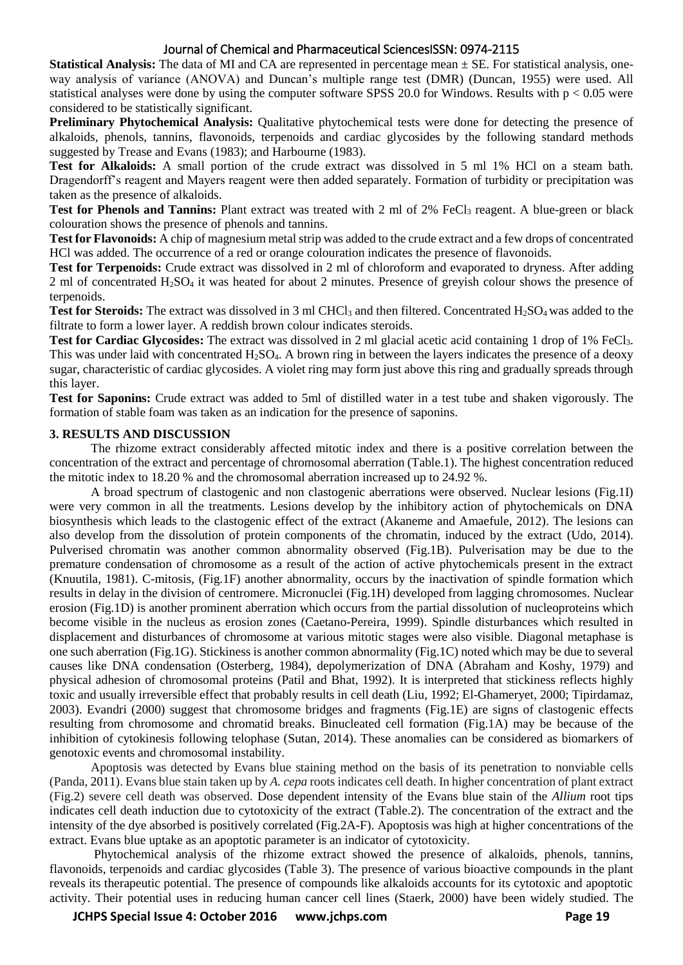## Journal of Chemical and Pharmaceutical SciencesISSN: 0974-2115

**Statistical Analysis:** The data of MI and CA are represented in percentage mean  $\pm$  SE. For statistical analysis, oneway analysis of variance (ANOVA) and Duncan's multiple range test (DMR) (Duncan, 1955) were used. All statistical analyses were done by using the computer software SPSS 20.0 for Windows. Results with p < 0.05 were considered to be statistically significant.

**Preliminary Phytochemical Analysis:** Qualitative phytochemical tests were done for detecting the presence of alkaloids, phenols, tannins, flavonoids, terpenoids and cardiac glycosides by the following standard methods suggested by Trease and Evans (1983); and Harbourne (1983).

Test for Alkaloids: A small portion of the crude extract was dissolved in 5 ml 1% HCl on a steam bath. Dragendorff's reagent and Mayers reagent were then added separately. Formation of turbidity or precipitation was taken as the presence of alkaloids.

**Test for Phenols and Tannins:** Plant extract was treated with 2 ml of 2% FeCl<sub>3</sub> reagent. A blue-green or black colouration shows the presence of phenols and tannins.

**Test for Flavonoids:** A chip of magnesium metal strip was added to the crude extract and a few drops of concentrated HCl was added. The occurrence of a red or orange colouration indicates the presence of flavonoids.

**Test for Terpenoids:** Crude extract was dissolved in 2 ml of chloroform and evaporated to dryness. After adding 2 ml of concentrated H2SO<sup>4</sup> it was heated for about 2 minutes. Presence of greyish colour shows the presence of terpenoids.

**Test for Steroids:** The extract was dissolved in 3 ml CHCl<sub>3</sub> and then filtered. Concentrated H<sub>2</sub>SO<sub>4</sub> was added to the filtrate to form a lower layer. A reddish brown colour indicates steroids.

**Test for Cardiac Glycosides:** The extract was dissolved in 2 ml glacial acetic acid containing 1 drop of 1% FeCl<sub>3</sub>. This was under laid with concentrated  $H_2SO_4$ . A brown ring in between the layers indicates the presence of a deoxy sugar, characteristic of cardiac glycosides. A violet ring may form just above this ring and gradually spreads through this layer.

**Test for Saponins:** Crude extract was added to 5ml of distilled water in a test tube and shaken vigorously. The formation of stable foam was taken as an indication for the presence of saponins.

## **3. RESULTS AND DISCUSSION**

The rhizome extract considerably affected mitotic index and there is a positive correlation between the concentration of the extract and percentage of chromosomal aberration (Table.1). The highest concentration reduced the mitotic index to 18.20 % and the chromosomal aberration increased up to 24.92 %.

A broad spectrum of clastogenic and non clastogenic aberrations were observed. Nuclear lesions (Fig.1I) were very common in all the treatments. Lesions develop by the inhibitory action of phytochemicals on DNA biosynthesis which leads to the clastogenic effect of the extract (Akaneme and Amaefule, 2012). The lesions can also develop from the dissolution of protein components of the chromatin, induced by the extract (Udo, 2014). Pulverised chromatin was another common abnormality observed (Fig.1B). Pulverisation may be due to the premature condensation of chromosome as a result of the action of active phytochemicals present in the extract (Knuutila, 1981). C-mitosis, (Fig.1F) another abnormality, occurs by the inactivation of spindle formation which results in delay in the division of centromere. Micronuclei (Fig.1H) developed from lagging chromosomes. Nuclear erosion (Fig.1D) is another prominent aberration which occurs from the partial dissolution of nucleoproteins which become visible in the nucleus as erosion zones (Caetano-Pereira, 1999). Spindle disturbances which resulted in displacement and disturbances of chromosome at various mitotic stages were also visible. Diagonal metaphase is one such aberration (Fig.1G). Stickiness is another common abnormality (Fig.1C) noted which may be due to several causes like DNA condensation (Osterberg, 1984), depolymerization of DNA (Abraham and Koshy, 1979) and physical adhesion of chromosomal proteins (Patil and Bhat, 1992). It is interpreted that stickiness reflects highly toxic and usually irreversible effect that probably results in cell death (Liu, 1992; El-Ghameryet, 2000; Tipirdamaz, 2003). Evandri (2000) suggest that chromosome bridges and fragments (Fig.1E) are signs of clastogenic effects resulting from chromosome and chromatid breaks. Binucleated cell formation (Fig.1A) may be because of the inhibition of cytokinesis following telophase (Sutan, 2014). These anomalies can be considered as biomarkers of genotoxic events and chromosomal instability.

Apoptosis was detected by Evans blue staining method on the basis of its penetration to nonviable cells (Panda, 2011). Evans blue stain taken up by *A. cepa* roots indicates cell death. In higher concentration of plant extract (Fig.2) severe cell death was observed. Dose dependent intensity of the Evans blue stain of the *Allium* root tips indicates cell death induction due to cytotoxicity of the extract (Table.2). The concentration of the extract and the intensity of the dye absorbed is positively correlated (Fig.2A-F). Apoptosis was high at higher concentrations of the extract. Evans blue uptake as an apoptotic parameter is an indicator of cytotoxicity.

 Phytochemical analysis of the rhizome extract showed the presence of alkaloids, phenols, tannins, flavonoids, terpenoids and cardiac glycosides (Table 3). The presence of various bioactive compounds in the plant reveals its therapeutic potential. The presence of compounds like alkaloids accounts for its cytotoxic and apoptotic activity. Their potential uses in reducing human cancer cell lines (Staerk, 2000) have been widely studied. The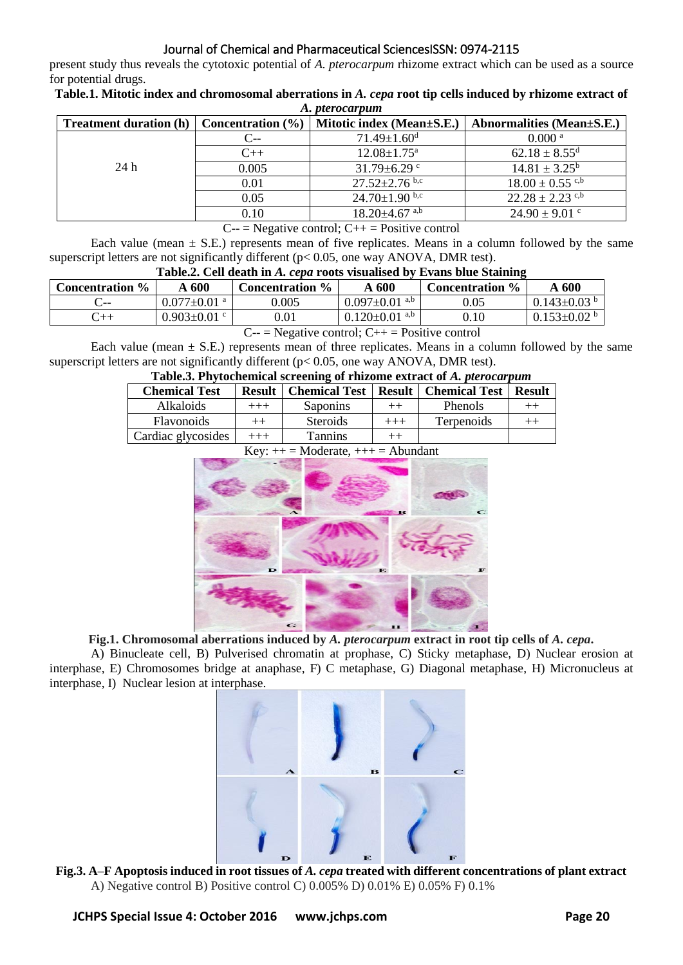# Journal of Chemical and Pharmaceutical SciencesISSN: 0974-2115

present study thus reveals the cytotoxic potential of *A. pterocarpum* rhizome extract which can be used as a source for potential drugs.

**Table.1. Mitotic index and chromosomal aberrations in** *A. cepa* **root tip cells induced by rhizome extract of**  *A. pterocarpum*

| <b>Treatment duration (h)</b>                     | Concentration $(\% )$ | Mitotic index (Mean±S.E.)       | Abnormalities (Mean±S.E.)       |  |  |
|---------------------------------------------------|-----------------------|---------------------------------|---------------------------------|--|--|
|                                                   | C--                   | $71.49 \pm 1.60$ <sup>d</sup>   | 0.000 <sup>a</sup>              |  |  |
|                                                   | $C_{++}$              | $12.08 \pm 1.75^{\mathrm{a}}$   | $62.18 \pm 8.55$ <sup>d</sup>   |  |  |
| 24h                                               | 0.005                 | 31.79 $\pm$ 6.29 $\degree$      | $14.81 \pm 3.25^{\rm b}$        |  |  |
|                                                   | 0.01                  | $27.52 \pm 2.76$ b,c            | $18.00 \pm 0.55$ <sup>c,b</sup> |  |  |
|                                                   | 0.05                  | $24.70{\pm}1.90$ b,c            | $22.28 \pm 2.23$ <sup>c,b</sup> |  |  |
|                                                   | 0.10                  | $18.20 \pm 4.67$ <sup>a,b</sup> | $24.90 \pm 9.01$ c              |  |  |
| $\sim$ $\mathbf{v}$<br>$\sim$ 1 $\alpha$ n $\sim$ |                       |                                 |                                 |  |  |

 $C_{\text{--}}$  = Negative control;  $C_{\text{++}}$  = Positive control

Each value (mean  $\pm$  S.E.) represents mean of five replicates. Means in a column followed by the same superscript letters are not significantly different  $(p< 0.05$ , one way ANOVA, DMR test).

## **Table.2. Cell death in** *A. cepa* **roots visualised by Evans blue Staining**

| <b>Concentration</b> %                                                          | A 600                 | <b>Concentration</b> % | A 600                           | <b>Concentration</b> % | A <sub>600</sub>              |
|---------------------------------------------------------------------------------|-----------------------|------------------------|---------------------------------|------------------------|-------------------------------|
| $\sim$                                                                          | $0.077\pm0.01$ a $\,$ | 0.005                  | $0.097 \pm 0.01$ <sup>a,b</sup> | 0.05                   | $0.143 \pm 0.03$ <sup>b</sup> |
| ີ++                                                                             | $0.903 \pm 0.01$ c    | $0.01\,$               | $0.120 \pm 0.01$ <sup>a,b</sup> | $\rm 0.10$             | $0.153 \pm 0.02$ b            |
| $N_{\text{e}}$ and $\alpha$ and $\alpha$ and $\alpha$ are $\alpha$ and $\alpha$ |                       |                        |                                 |                        |                               |

 $C_{\text{--}}$  = Negative control;  $C_{\text{++}}$  = Positive control

Each value (mean  $\pm$  S.E.) represents mean of three replicates. Means in a column followed by the same superscript letters are not significantly different ( $p < 0.05$ , one way ANOVA, DMR test).

# **Table.3. Phytochemical screening of rhizome extract of** *A. pterocarpum*

| <b>Chemical Test</b>                                                                           | <b>Result</b> | <b>Chemical Test</b> |        | <b>Result   Chemical Test</b> | <b>Result</b> |
|------------------------------------------------------------------------------------------------|---------------|----------------------|--------|-------------------------------|---------------|
| <b>Alkaloids</b>                                                                               |               | Saponins             |        | Phenols                       |               |
| <b>Flavonoids</b>                                                                              | $^{++}$       | <b>Steroids</b>      | $++++$ | Terpenoids                    |               |
| Cardiac glycosides                                                                             | $+++$         | Tannins              |        |                               |               |
| $K_{\alpha V}$ $\rightarrow$ $\alpha$ $\alpha$ $\alpha$ $\rightarrow$ $\beta$ $\alpha$ $\beta$ |               |                      |        |                               |               |

|                  | $\mathbf{R}$ $\mathbf{y}$ . $\mathbf{y}$ = <b>Moderate</b> , $\mathbf{y}$ = <b>Abundant</b> |                                                                                                                            |
|------------------|---------------------------------------------------------------------------------------------|----------------------------------------------------------------------------------------------------------------------------|
| $\blacktriangle$ |                                                                                             | $\sum_{i=1}^{n}$<br>$\mathbf C$<br>$\mathbf{B}$                                                                            |
| $\mathbf{D}$     | E                                                                                           | $\mathbf{F}$                                                                                                               |
| $\mathbf G$      |                                                                                             | <b>The Contract of the Contract of the Contract of the Contract of the Contract of the Contract of the Contract o</b><br>ш |

**Fig.1. Chromosomal aberrations induced by** *A. pterocarpum* **extract in root tip cells of** *A. cepa***.**

A) Binucleate cell, B) Pulverised chromatin at prophase, C) Sticky metaphase, D) Nuclear erosion at interphase, E) Chromosomes bridge at anaphase, F) C metaphase, G) Diagonal metaphase, H) Micronucleus at interphase, I) Nuclear lesion at interphase.



**Fig.3. A–F Apoptosis induced in root tissues of** *A. cepa* **treated with different concentrations of plant extract** A) Negative control B) Positive control C) 0.005% D) 0.01% E) 0.05% F) 0.1%